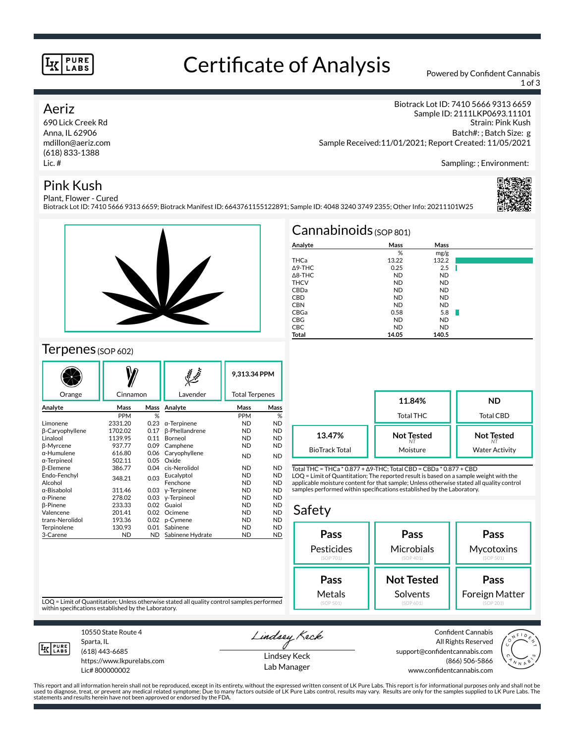#### **PURE LABS**

# Certificate of Analysis Powered by Confident Cannabis

1 of 3

Sampling: ; Environment:

Biotrack Lot ID: 7410 5666 9313 6659 Sample ID: 2111LKP0693.11101

Г

Sample Received:11/01/2021; Report Created: 11/05/2021

#### Aeriz

690 Lick Creek Rd Anna, IL 62906 mdillon@aeriz.com (618) 833-1388 Lic. #

### Pink Kush



Strain: Pink Kush Batch#: ; Batch Size: g

Plant, Flower - Cured Biotrack Lot ID: 7410 5666 9313 6659; Biotrack Manifest ID: 6643761155122891; Sample ID: 4048 3240 3749 2355; Other Info: 20211101W25



#### $T$ erpenes (SOP 602)

|                  |                  |      |                       | 9.313.34 PPM |                       |  |
|------------------|------------------|------|-----------------------|--------------|-----------------------|--|
| Orange           | Cinnamon         |      | Lavender              |              | <b>Total Terpenes</b> |  |
| Analyte          | Mass             | Mass | Analyte               | Mass         | Mass                  |  |
|                  | <b>PPM</b>       | %    |                       | <b>PPM</b>   | %                     |  |
| Limonene         | 2331.20          | 0.23 | $\alpha$ -Terpinene   | <b>ND</b>    | <b>ND</b>             |  |
| β-Caryophyllene  | 1702.02          | 0.17 | <b>ß-Phellandrene</b> | ND.          | <b>ND</b>             |  |
| Linalool         | 1139.95          | 0.11 | Borneol               | ND.          | <b>ND</b>             |  |
| <b>B-Myrcene</b> | 937.77           | 0.09 | Camphene              | ND.          | <b>ND</b>             |  |
| α-Humulene       | 616.80           | 0.06 | Caryophyllene         | <b>ND</b>    | <b>ND</b>             |  |
| α-Terpineol      | 502.11           | 0.05 | Oxide                 |              |                       |  |
| β-Elemene        | 386.77           | 0.04 | cis-Nerolidol         | ND.          | <b>ND</b>             |  |
| Endo-Fenchyl     | 348.21           | 0.03 | Eucalyptol            | <b>ND</b>    | <b>ND</b>             |  |
| Alcohol          |                  |      | Fenchone              | <b>ND</b>    | <b>ND</b>             |  |
| α-Bisabolol      | 311.46           | 0.03 | y-Terpinene           | ND.          | <b>ND</b>             |  |
| α-Pinene         | 278.02           | 0.03 | y-Terpineol           | <b>ND</b>    | <b>ND</b>             |  |
| <b>B-Pinene</b>  | 233.33           | 0.02 | Guaiol                | ND.          | <b>ND</b>             |  |
| Valencene        | 201.41           | 0.02 | Ocimene               | <b>ND</b>    | <b>ND</b>             |  |
| trans-Nerolidol  | 193.36           | 0.02 | p-Cymene              | ND.          | <b>ND</b>             |  |
| Terpinolene      | 130.93           | 0.01 | Sabinene              | <b>ND</b>    | <b>ND</b>             |  |
| 3-Carene         | <b>ND</b><br>ND. |      | Sabinene Hydrate      | <b>ND</b>    | <b>ND</b>             |  |

| Cannabinoids $(sOP 801)$ |           |           |  |  |  |
|--------------------------|-----------|-----------|--|--|--|
| Analyte                  | Mass      | Mass      |  |  |  |
|                          | %         | mg/g      |  |  |  |
| THCa                     | 13.22     | 132.2     |  |  |  |
| $\triangle$ 9-THC        | 0.25      | 2.5       |  |  |  |
| $\triangle$ 8-THC        | <b>ND</b> | <b>ND</b> |  |  |  |
| <b>THCV</b>              | <b>ND</b> | <b>ND</b> |  |  |  |
| CBDa                     | <b>ND</b> | <b>ND</b> |  |  |  |
| CBD                      | <b>ND</b> | <b>ND</b> |  |  |  |

CBN ND ND CBGa 0.58 5.8 CBG ND ND CBC ND ND **Total 14.05 140.5**

|                                 | 11.84%<br><b>Total THC</b>          | <b>ND</b><br><b>Total CBD</b>              |  |
|---------------------------------|-------------------------------------|--------------------------------------------|--|
| 13.47%<br><b>BioTrack Total</b> | <b>Not Tested</b><br>NΤ<br>Moisture | <b>Not Tested</b><br><b>Water Activity</b> |  |

Total THC = THCa \* 0.877 + ∆9-THC; Total CBD = CBDa \* 0.877 + CBD LOQ = Limit of Quantitation; The reported result is based on a sample weight with the applicable moisture content for that sample; Unless otherwise stated all quality control samples performed within specifications established by the Laboratory.

#### Safety **Pass** Pesticides (SOP 701) **Pass Microbials** (SOP 401) **Pass Mycotoxins** (SOP 501) **Not Tested** Solvents **Pass** Foreign Matter **Pass** Metals

LOQ = Limit of Quantitation; Unless otherwise stated all quality control samples performed within specifications established by the Laboratory.



10550 State Route 4 Sparta, IL (618) 443-6685

https://www.lkpurelabs.com Lic# 800000002

Lindsey Keck

Lindsey Keck Lab Manager

Confident Cannabis All Rights Reserved support@confidentcannabis.com (866) 506-5866 www.confidentcannabis.com



This report and all information herein shall not be reproduced, except in its entirety, without the expressed written consent of LK Pure Labs. This report is for informational purposes only and shall not be<br>used to diagnos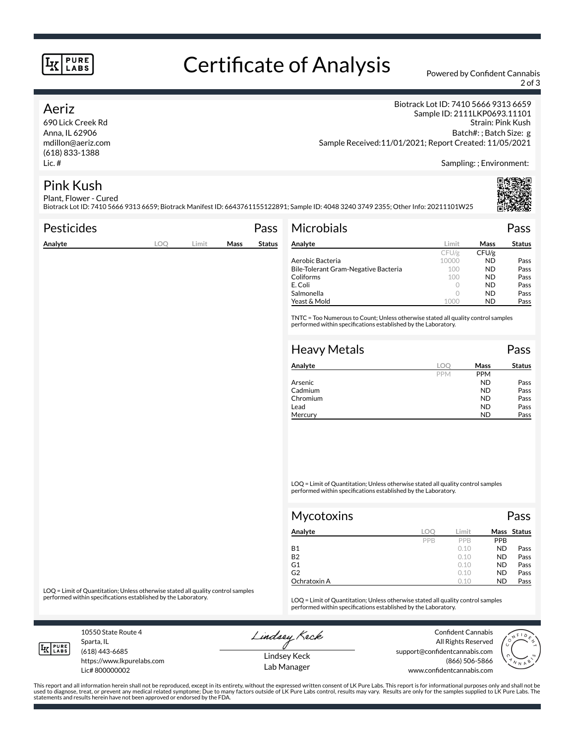#### **PURE LABS**

# Certificate of Analysis Powered by Confident Cannabis

2 of 3

#### Aeriz

690 Lick Creek Rd Anna, IL 62906 mdillon@aeriz.com (618) 833-1388 Lic. #

Biotrack Lot ID: 7410 5666 9313 6659 Sample ID: 2111LKP0693.11101 Strain: Pink Kush Batch#: ; Batch Size: g Sample Received:11/01/2021; Report Created: 11/05/2021

Sampling: ; Environment:

### Pink Kush

Plant, Flower - Cured Biotrack Lot ID: 7410 5666 9313 6659; Biotrack Manifest ID: 6643761155122891; Sample ID: 4048 3240 3749 2355; Other Info: 20211101W25

| <b>Pesticides</b> |     |       |      | Pass          | <b>Microbials</b>                                                                                                                                   |            |             | Pass          |
|-------------------|-----|-------|------|---------------|-----------------------------------------------------------------------------------------------------------------------------------------------------|------------|-------------|---------------|
| Analyte           | LOQ | Limit | Mass | <b>Status</b> | Analyte                                                                                                                                             | Limit      | <b>Mass</b> | <b>Status</b> |
|                   |     |       |      |               |                                                                                                                                                     | CFU/g      | CFU/g       |               |
|                   |     |       |      |               | Aerobic Bacteria                                                                                                                                    | 10000      | ND.         | Pass          |
|                   |     |       |      |               | Bile-Tolerant Gram-Negative Bacteria                                                                                                                | 100        | <b>ND</b>   | Pass          |
|                   |     |       |      |               | Coliforms                                                                                                                                           | 100        | <b>ND</b>   | Pass          |
|                   |     |       |      |               | E. Coli                                                                                                                                             | 0          | <b>ND</b>   | Pass          |
|                   |     |       |      |               | Salmonella                                                                                                                                          | $\circ$    | <b>ND</b>   | Pass          |
|                   |     |       |      |               | Yeast & Mold                                                                                                                                        | 1000       | <b>ND</b>   | Pass          |
|                   |     |       |      |               | TNTC = Too Numerous to Count; Unless otherwise stated all quality control samples<br>performed within specifications established by the Laboratory. |            |             |               |
|                   |     |       |      |               | <b>Heavy Metals</b>                                                                                                                                 |            |             | Pass          |
|                   |     |       |      |               | Analyte                                                                                                                                             | LOO        | Mass        | <b>Status</b> |
|                   |     |       |      |               |                                                                                                                                                     | <b>PPM</b> | <b>PPM</b>  |               |
|                   |     |       |      |               | Arsenic                                                                                                                                             |            | <b>ND</b>   | Pass          |

LOQ = Limit of Quantitation; Unless otherwise stated all quality control samples performed within specifications established by the Laboratory.

| Mycotoxins   |     |            |            | Pass        |  |  |
|--------------|-----|------------|------------|-------------|--|--|
| Analyte      | LOC | Limit      |            | Mass Status |  |  |
|              | PPB | <b>PPR</b> | <b>PPB</b> |             |  |  |
| <b>B1</b>    |     | 0.10       | <b>ND</b>  | Pass        |  |  |
| <b>B2</b>    |     | 0.10       | <b>ND</b>  | Pass        |  |  |
| G1           |     | 0.10       | <b>ND</b>  | Pass        |  |  |
| G2           |     | 0.10       | <b>ND</b>  | Pass        |  |  |
| Ochratoxin A |     | 0.10       | <b>ND</b>  | Pass        |  |  |

Cadmium ND Pass<br>
Chromium ND Pass Chromium Pass Lead **ND** Pass Mercury **ND** Pass

LOQ = Limit of Quantitation; Unless otherwise stated all quality control samples<br>performed within specifications established by the Laboratory.

LOQ = Limit of Quantitation; Unless otherwise stated all quality control samples performed within specifications established by the Laboratory.

10550 State Route 4 Sparta, IL (618) 443-6685

**LK** LABS

Lic# 800000002

https://www.lkpurelabs.com

Lindsey Keck

Confident Cannabis All Rights Reserved support@confidentcannabis.com (866) 506-5866 www.confidentcannabis.com



This report and all information herein shall not be reproduced, except in its entirety, without the expressed written consent of LK Pure Labs. This report is for informational purposes only and shall not be<br>used to diagnos statements and results herein have not been approved or endorsed by the FDA.